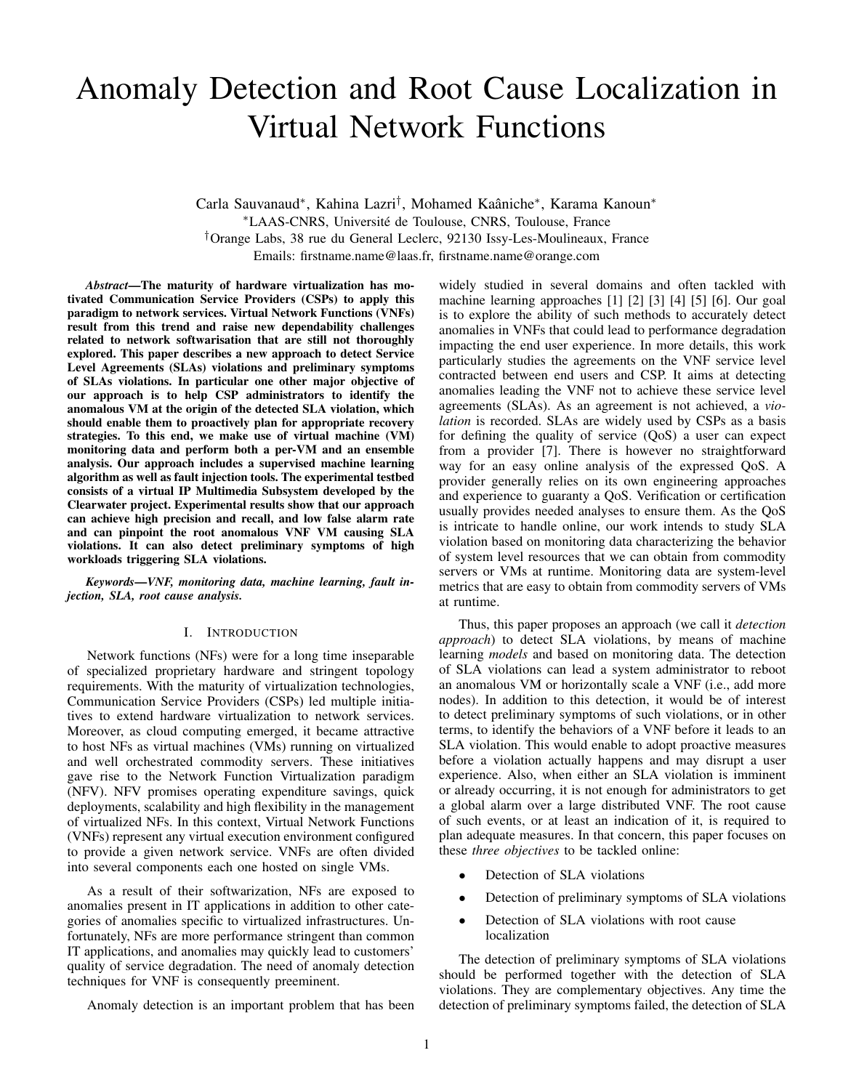# Anomaly Detection and Root Cause Localization in Virtual Network Functions

Carla Sauvanaud\*, Kahina Lazri<sup>†</sup>, Mohamed Kaâniche\*, Karama Kanoun\* <sup>∗</sup>LAAS-CNRS, Universite de Toulouse, CNRS, Toulouse, France ´ †Orange Labs, 38 rue du General Leclerc, 92130 Issy-Les-Moulineaux, France Emails: firstname.name@laas.fr, firstname.name@orange.com

*Abstract*—The maturity of hardware virtualization has motivated Communication Service Providers (CSPs) to apply this paradigm to network services. Virtual Network Functions (VNFs) result from this trend and raise new dependability challenges related to network softwarisation that are still not thoroughly explored. This paper describes a new approach to detect Service Level Agreements (SLAs) violations and preliminary symptoms of SLAs violations. In particular one other major objective of our approach is to help CSP administrators to identify the anomalous VM at the origin of the detected SLA violation, which should enable them to proactively plan for appropriate recovery strategies. To this end, we make use of virtual machine (VM) monitoring data and perform both a per-VM and an ensemble analysis. Our approach includes a supervised machine learning algorithm as well as fault injection tools. The experimental testbed consists of a virtual IP Multimedia Subsystem developed by the Clearwater project. Experimental results show that our approach can achieve high precision and recall, and low false alarm rate and can pinpoint the root anomalous VNF VM causing SLA violations. It can also detect preliminary symptoms of high workloads triggering SLA violations.

*Keywords*—*VNF, monitoring data, machine learning, fault injection, SLA, root cause analysis.*

## I. INTRODUCTION

Network functions (NFs) were for a long time inseparable of specialized proprietary hardware and stringent topology requirements. With the maturity of virtualization technologies, Communication Service Providers (CSPs) led multiple initiatives to extend hardware virtualization to network services. Moreover, as cloud computing emerged, it became attractive to host NFs as virtual machines (VMs) running on virtualized and well orchestrated commodity servers. These initiatives gave rise to the Network Function Virtualization paradigm (NFV). NFV promises operating expenditure savings, quick deployments, scalability and high flexibility in the management of virtualized NFs. In this context, Virtual Network Functions (VNFs) represent any virtual execution environment configured to provide a given network service. VNFs are often divided into several components each one hosted on single VMs.

As a result of their softwarization, NFs are exposed to anomalies present in IT applications in addition to other categories of anomalies specific to virtualized infrastructures. Unfortunately, NFs are more performance stringent than common IT applications, and anomalies may quickly lead to customers' quality of service degradation. The need of anomaly detection techniques for VNF is consequently preeminent.

Anomaly detection is an important problem that has been

widely studied in several domains and often tackled with machine learning approaches [1] [2] [3] [4] [5] [6]. Our goal is to explore the ability of such methods to accurately detect anomalies in VNFs that could lead to performance degradation impacting the end user experience. In more details, this work particularly studies the agreements on the VNF service level contracted between end users and CSP. It aims at detecting anomalies leading the VNF not to achieve these service level agreements (SLAs). As an agreement is not achieved, a *violation* is recorded. SLAs are widely used by CSPs as a basis for defining the quality of service (QoS) a user can expect from a provider [7]. There is however no straightforward way for an easy online analysis of the expressed QoS. A provider generally relies on its own engineering approaches and experience to guaranty a QoS. Verification or certification usually provides needed analyses to ensure them. As the QoS is intricate to handle online, our work intends to study SLA violation based on monitoring data characterizing the behavior of system level resources that we can obtain from commodity servers or VMs at runtime. Monitoring data are system-level metrics that are easy to obtain from commodity servers of VMs at runtime.

Thus, this paper proposes an approach (we call it *detection approach*) to detect SLA violations, by means of machine learning *models* and based on monitoring data. The detection of SLA violations can lead a system administrator to reboot an anomalous VM or horizontally scale a VNF (i.e., add more nodes). In addition to this detection, it would be of interest to detect preliminary symptoms of such violations, or in other terms, to identify the behaviors of a VNF before it leads to an SLA violation. This would enable to adopt proactive measures before a violation actually happens and may disrupt a user experience. Also, when either an SLA violation is imminent or already occurring, it is not enough for administrators to get a global alarm over a large distributed VNF. The root cause of such events, or at least an indication of it, is required to plan adequate measures. In that concern, this paper focuses on these *three objectives* to be tackled online:

- Detection of SLA violations
- Detection of preliminary symptoms of SLA violations
- Detection of SLA violations with root cause localization

The detection of preliminary symptoms of SLA violations should be performed together with the detection of SLA violations. They are complementary objectives. Any time the detection of preliminary symptoms failed, the detection of SLA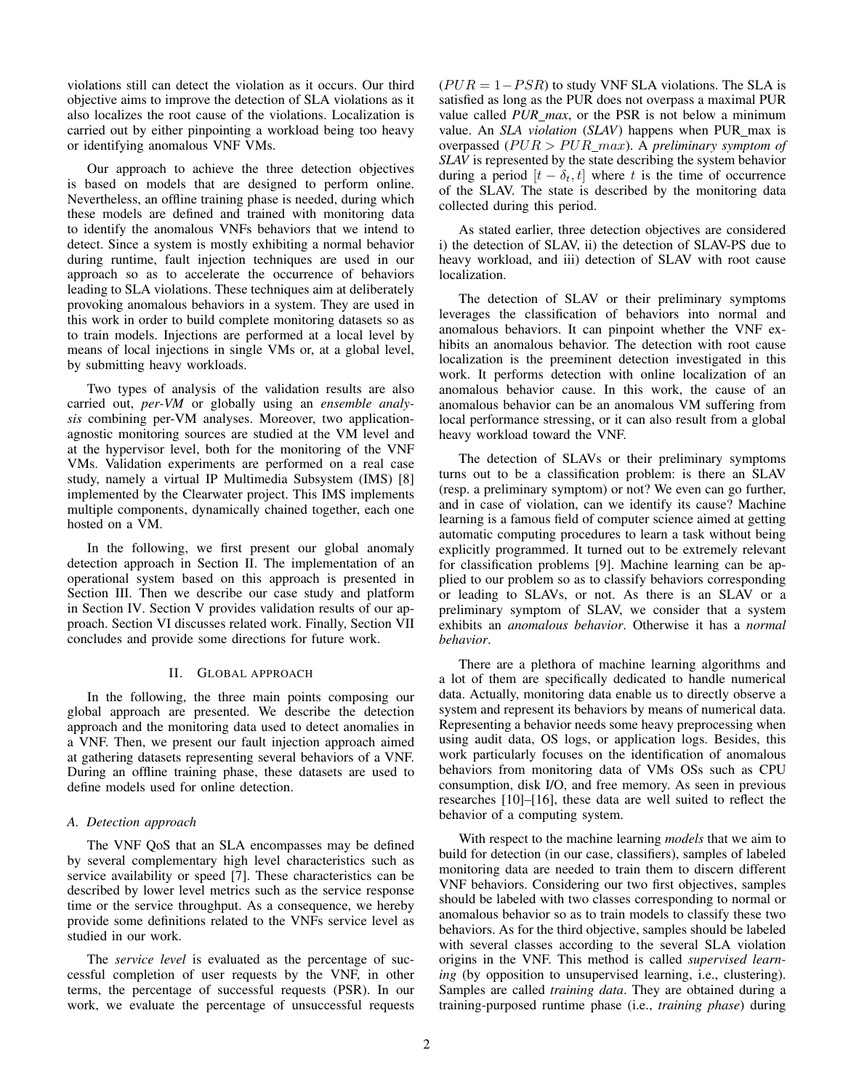violations still can detect the violation as it occurs. Our third objective aims to improve the detection of SLA violations as it also localizes the root cause of the violations. Localization is carried out by either pinpointing a workload being too heavy or identifying anomalous VNF VMs.

Our approach to achieve the three detection objectives is based on models that are designed to perform online. Nevertheless, an offline training phase is needed, during which these models are defined and trained with monitoring data to identify the anomalous VNFs behaviors that we intend to detect. Since a system is mostly exhibiting a normal behavior during runtime, fault injection techniques are used in our approach so as to accelerate the occurrence of behaviors leading to SLA violations. These techniques aim at deliberately provoking anomalous behaviors in a system. They are used in this work in order to build complete monitoring datasets so as to train models. Injections are performed at a local level by means of local injections in single VMs or, at a global level, by submitting heavy workloads.

Two types of analysis of the validation results are also carried out, *per-VM* or globally using an *ensemble analysis* combining per-VM analyses. Moreover, two applicationagnostic monitoring sources are studied at the VM level and at the hypervisor level, both for the monitoring of the VNF VMs. Validation experiments are performed on a real case study, namely a virtual IP Multimedia Subsystem (IMS) [8] implemented by the Clearwater project. This IMS implements multiple components, dynamically chained together, each one hosted on a VM.

In the following, we first present our global anomaly detection approach in Section II. The implementation of an operational system based on this approach is presented in Section III. Then we describe our case study and platform in Section IV. Section V provides validation results of our approach. Section VI discusses related work. Finally, Section VII concludes and provide some directions for future work.

## II. GLOBAL APPROACH

In the following, the three main points composing our global approach are presented. We describe the detection approach and the monitoring data used to detect anomalies in a VNF. Then, we present our fault injection approach aimed at gathering datasets representing several behaviors of a VNF. During an offline training phase, these datasets are used to define models used for online detection.

## *A. Detection approach*

The VNF QoS that an SLA encompasses may be defined by several complementary high level characteristics such as service availability or speed [7]. These characteristics can be described by lower level metrics such as the service response time or the service throughput. As a consequence, we hereby provide some definitions related to the VNFs service level as studied in our work.

The *service level* is evaluated as the percentage of successful completion of user requests by the VNF, in other terms, the percentage of successful requests (PSR). In our work, we evaluate the percentage of unsuccessful requests  $(PUR = 1 - PSR)$  to study VNF SLA violations. The SLA is satisfied as long as the PUR does not overpass a maximal PUR value called *PUR max*, or the PSR is not below a minimum value. An *SLA violation* (*SLAV*) happens when PUR\_max is overpassed ( $PUR > PUR$  max). A *preliminary symptom of SLAV* is represented by the state describing the system behavior during a period  $[t - \delta_t, t]$  where t is the time of occurrence of the SLAV. The state is described by the monitoring data collected during this period.

As stated earlier, three detection objectives are considered i) the detection of SLAV, ii) the detection of SLAV-PS due to heavy workload, and iii) detection of SLAV with root cause localization.

The detection of SLAV or their preliminary symptoms leverages the classification of behaviors into normal and anomalous behaviors. It can pinpoint whether the VNF exhibits an anomalous behavior. The detection with root cause localization is the preeminent detection investigated in this work. It performs detection with online localization of an anomalous behavior cause. In this work, the cause of an anomalous behavior can be an anomalous VM suffering from local performance stressing, or it can also result from a global heavy workload toward the VNF.

The detection of SLAVs or their preliminary symptoms turns out to be a classification problem: is there an SLAV (resp. a preliminary symptom) or not? We even can go further, and in case of violation, can we identify its cause? Machine learning is a famous field of computer science aimed at getting automatic computing procedures to learn a task without being explicitly programmed. It turned out to be extremely relevant for classification problems [9]. Machine learning can be applied to our problem so as to classify behaviors corresponding or leading to SLAVs, or not. As there is an SLAV or a preliminary symptom of SLAV, we consider that a system exhibits an *anomalous behavior*. Otherwise it has a *normal behavior*.

There are a plethora of machine learning algorithms and a lot of them are specifically dedicated to handle numerical data. Actually, monitoring data enable us to directly observe a system and represent its behaviors by means of numerical data. Representing a behavior needs some heavy preprocessing when using audit data, OS logs, or application logs. Besides, this work particularly focuses on the identification of anomalous behaviors from monitoring data of VMs OSs such as CPU consumption, disk I/O, and free memory. As seen in previous researches [10]–[16], these data are well suited to reflect the behavior of a computing system.

With respect to the machine learning *models* that we aim to build for detection (in our case, classifiers), samples of labeled monitoring data are needed to train them to discern different VNF behaviors. Considering our two first objectives, samples should be labeled with two classes corresponding to normal or anomalous behavior so as to train models to classify these two behaviors. As for the third objective, samples should be labeled with several classes according to the several SLA violation origins in the VNF. This method is called *supervised learning* (by opposition to unsupervised learning, i.e., clustering). Samples are called *training data*. They are obtained during a training-purposed runtime phase (i.e., *training phase*) during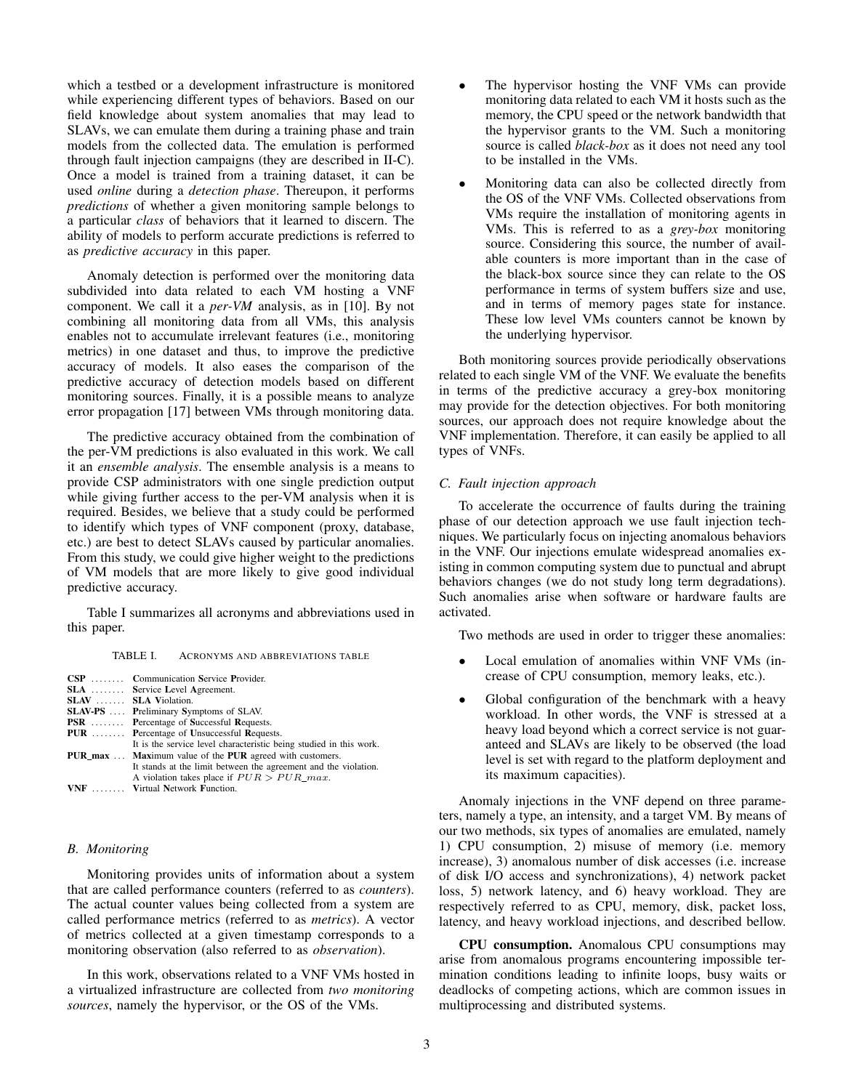which a testbed or a development infrastructure is monitored while experiencing different types of behaviors. Based on our field knowledge about system anomalies that may lead to SLAVs, we can emulate them during a training phase and train models from the collected data. The emulation is performed through fault injection campaigns (they are described in II-C). Once a model is trained from a training dataset, it can be used *online* during a *detection phase*. Thereupon, it performs *predictions* of whether a given monitoring sample belongs to a particular *class* of behaviors that it learned to discern. The ability of models to perform accurate predictions is referred to as *predictive accuracy* in this paper.

Anomaly detection is performed over the monitoring data subdivided into data related to each VM hosting a VNF component. We call it a *per-VM* analysis, as in [10]. By not combining all monitoring data from all VMs, this analysis enables not to accumulate irrelevant features (i.e., monitoring metrics) in one dataset and thus, to improve the predictive accuracy of models. It also eases the comparison of the predictive accuracy of detection models based on different monitoring sources. Finally, it is a possible means to analyze error propagation [17] between VMs through monitoring data.

The predictive accuracy obtained from the combination of the per-VM predictions is also evaluated in this work. We call it an *ensemble analysis*. The ensemble analysis is a means to provide CSP administrators with one single prediction output while giving further access to the per-VM analysis when it is required. Besides, we believe that a study could be performed to identify which types of VNF component (proxy, database, etc.) are best to detect SLAVs caused by particular anomalies. From this study, we could give higher weight to the predictions of VM models that are more likely to give good individual predictive accuracy.

Table I summarizes all acronyms and abbreviations used in this paper.

TABLE I. ACRONYMS AND ABBREVIATIONS TABLE

|                            | <b>CSP</b> Communication Service Provider.                                                                                                                                                                     |
|----------------------------|----------------------------------------------------------------------------------------------------------------------------------------------------------------------------------------------------------------|
|                            | <b>SLA</b> Service Level Agreement.                                                                                                                                                                            |
| <b>SLAV SLA</b> Violation. |                                                                                                                                                                                                                |
|                            | <b>SLAV-PS</b> Preliminary Symptoms of SLAV.                                                                                                                                                                   |
|                            | <b>PSR</b> Percentage of Successful Requests.                                                                                                                                                                  |
|                            | <b>PUR</b> Percentage of Unsuccessful Requests.                                                                                                                                                                |
|                            | It is the service level characteristic being studied in this work.<br><b>PUR max Maximum</b> value of the <b>PUR</b> agreed with customers.<br>It stands at the limit between the agreement and the violation. |
|                            | A violation takes place if $PUR > PUR_{max}$ .<br><b>VNF</b> Virtual Network Function.                                                                                                                         |

## *B. Monitoring*

Monitoring provides units of information about a system that are called performance counters (referred to as *counters*). The actual counter values being collected from a system are called performance metrics (referred to as *metrics*). A vector of metrics collected at a given timestamp corresponds to a monitoring observation (also referred to as *observation*).

In this work, observations related to a VNF VMs hosted in a virtualized infrastructure are collected from *two monitoring sources*, namely the hypervisor, or the OS of the VMs.

- The hypervisor hosting the VNF VMs can provide monitoring data related to each VM it hosts such as the memory, the CPU speed or the network bandwidth that the hypervisor grants to the VM. Such a monitoring source is called *black-box* as it does not need any tool to be installed in the VMs.
- Monitoring data can also be collected directly from the OS of the VNF VMs. Collected observations from VMs require the installation of monitoring agents in VMs. This is referred to as a *grey-box* monitoring source. Considering this source, the number of available counters is more important than in the case of the black-box source since they can relate to the OS performance in terms of system buffers size and use, and in terms of memory pages state for instance. These low level VMs counters cannot be known by the underlying hypervisor.

Both monitoring sources provide periodically observations related to each single VM of the VNF. We evaluate the benefits in terms of the predictive accuracy a grey-box monitoring may provide for the detection objectives. For both monitoring sources, our approach does not require knowledge about the VNF implementation. Therefore, it can easily be applied to all types of VNFs.

# *C. Fault injection approach*

To accelerate the occurrence of faults during the training phase of our detection approach we use fault injection techniques. We particularly focus on injecting anomalous behaviors in the VNF. Our injections emulate widespread anomalies existing in common computing system due to punctual and abrupt behaviors changes (we do not study long term degradations). Such anomalies arise when software or hardware faults are activated.

Two methods are used in order to trigger these anomalies:

- Local emulation of anomalies within VNF VMs (increase of CPU consumption, memory leaks, etc.).
- Global configuration of the benchmark with a heavy workload. In other words, the VNF is stressed at a heavy load beyond which a correct service is not guaranteed and SLAVs are likely to be observed (the load level is set with regard to the platform deployment and its maximum capacities).

Anomaly injections in the VNF depend on three parameters, namely a type, an intensity, and a target VM. By means of our two methods, six types of anomalies are emulated, namely 1) CPU consumption, 2) misuse of memory (i.e. memory increase), 3) anomalous number of disk accesses (i.e. increase of disk I/O access and synchronizations), 4) network packet loss, 5) network latency, and 6) heavy workload. They are respectively referred to as CPU, memory, disk, packet loss, latency, and heavy workload injections, and described bellow.

CPU consumption. Anomalous CPU consumptions may arise from anomalous programs encountering impossible termination conditions leading to infinite loops, busy waits or deadlocks of competing actions, which are common issues in multiprocessing and distributed systems.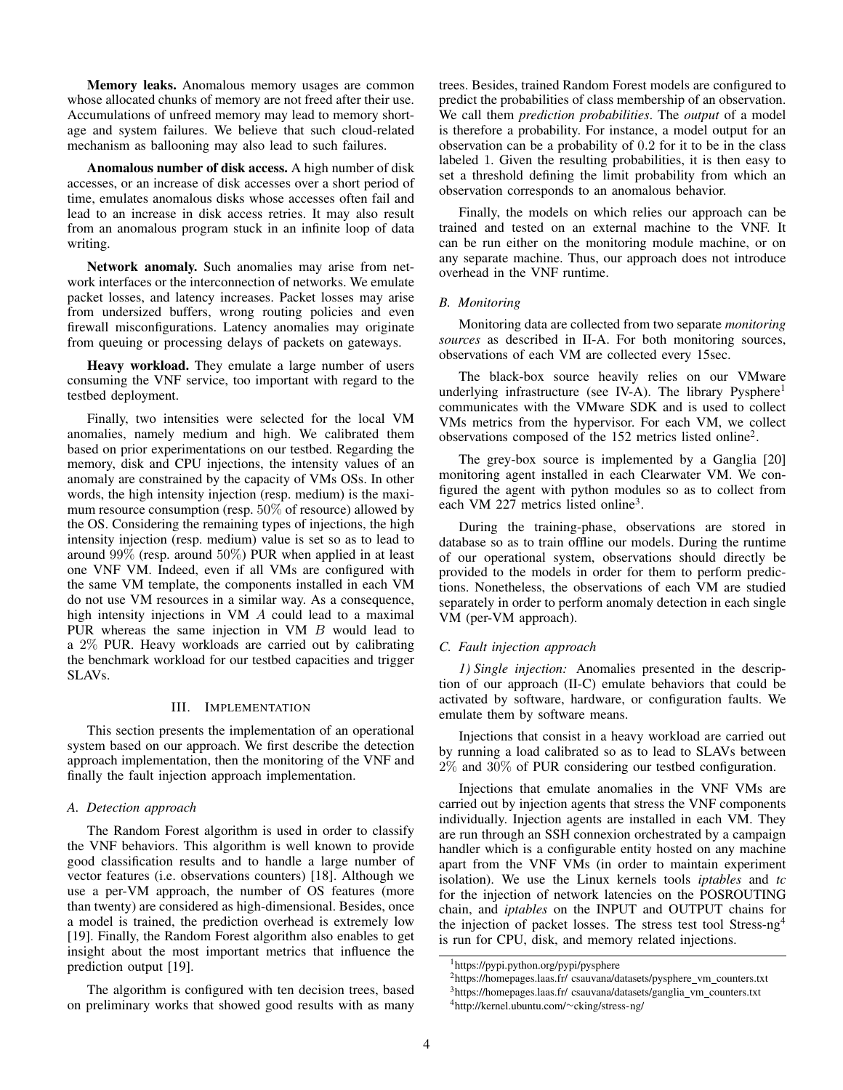Memory leaks. Anomalous memory usages are common whose allocated chunks of memory are not freed after their use. Accumulations of unfreed memory may lead to memory shortage and system failures. We believe that such cloud-related mechanism as ballooning may also lead to such failures.

Anomalous number of disk access. A high number of disk accesses, or an increase of disk accesses over a short period of time, emulates anomalous disks whose accesses often fail and lead to an increase in disk access retries. It may also result from an anomalous program stuck in an infinite loop of data writing.

Network anomaly. Such anomalies may arise from network interfaces or the interconnection of networks. We emulate packet losses, and latency increases. Packet losses may arise from undersized buffers, wrong routing policies and even firewall misconfigurations. Latency anomalies may originate from queuing or processing delays of packets on gateways.

Heavy workload. They emulate a large number of users consuming the VNF service, too important with regard to the testbed deployment.

Finally, two intensities were selected for the local VM anomalies, namely medium and high. We calibrated them based on prior experimentations on our testbed. Regarding the memory, disk and CPU injections, the intensity values of an anomaly are constrained by the capacity of VMs OSs. In other words, the high intensity injection (resp. medium) is the maximum resource consumption (resp. 50% of resource) allowed by the OS. Considering the remaining types of injections, the high intensity injection (resp. medium) value is set so as to lead to around 99% (resp. around 50%) PUR when applied in at least one VNF VM. Indeed, even if all VMs are configured with the same VM template, the components installed in each VM do not use VM resources in a similar way. As a consequence, high intensity injections in VM A could lead to a maximal PUR whereas the same injection in VM B would lead to a 2% PUR. Heavy workloads are carried out by calibrating the benchmark workload for our testbed capacities and trigger SLAVs.

## III. IMPLEMENTATION

This section presents the implementation of an operational system based on our approach. We first describe the detection approach implementation, then the monitoring of the VNF and finally the fault injection approach implementation.

# *A. Detection approach*

The Random Forest algorithm is used in order to classify the VNF behaviors. This algorithm is well known to provide good classification results and to handle a large number of vector features (i.e. observations counters) [18]. Although we use a per-VM approach, the number of OS features (more than twenty) are considered as high-dimensional. Besides, once a model is trained, the prediction overhead is extremely low [19]. Finally, the Random Forest algorithm also enables to get insight about the most important metrics that influence the prediction output [19].

The algorithm is configured with ten decision trees, based on preliminary works that showed good results with as many trees. Besides, trained Random Forest models are configured to predict the probabilities of class membership of an observation. We call them *prediction probabilities*. The *output* of a model is therefore a probability. For instance, a model output for an observation can be a probability of 0.2 for it to be in the class labeled 1. Given the resulting probabilities, it is then easy to set a threshold defining the limit probability from which an observation corresponds to an anomalous behavior.

Finally, the models on which relies our approach can be trained and tested on an external machine to the VNF. It can be run either on the monitoring module machine, or on any separate machine. Thus, our approach does not introduce overhead in the VNF runtime.

## *B. Monitoring*

Monitoring data are collected from two separate *monitoring sources* as described in II-A. For both monitoring sources, observations of each VM are collected every 15sec.

The black-box source heavily relies on our VMware underlying infrastructure (see IV-A). The library Pysphere<sup>1</sup> communicates with the VMware SDK and is used to collect VMs metrics from the hypervisor. For each VM, we collect observations composed of the 152 metrics listed online<sup>2</sup>.

The grey-box source is implemented by a Ganglia [20] monitoring agent installed in each Clearwater VM. We configured the agent with python modules so as to collect from each VM 227 metrics listed online<sup>3</sup>.

During the training-phase, observations are stored in database so as to train offline our models. During the runtime of our operational system, observations should directly be provided to the models in order for them to perform predictions. Nonetheless, the observations of each VM are studied separately in order to perform anomaly detection in each single VM (per-VM approach).

## *C. Fault injection approach*

*1) Single injection:* Anomalies presented in the description of our approach (II-C) emulate behaviors that could be activated by software, hardware, or configuration faults. We emulate them by software means.

Injections that consist in a heavy workload are carried out by running a load calibrated so as to lead to SLAVs between 2% and 30% of PUR considering our testbed configuration.

Injections that emulate anomalies in the VNF VMs are carried out by injection agents that stress the VNF components individually. Injection agents are installed in each VM. They are run through an SSH connexion orchestrated by a campaign handler which is a configurable entity hosted on any machine apart from the VNF VMs (in order to maintain experiment isolation). We use the Linux kernels tools *iptables* and *tc* for the injection of network latencies on the POSROUTING chain, and *iptables* on the INPUT and OUTPUT chains for the injection of packet losses. The stress test tool Stress-ng<sup>4</sup> is run for CPU, disk, and memory related injections.

<sup>1</sup>https://pypi.python.org/pypi/pysphere

 $2$ https://homepages.laas.fr/ csauvana/datasets/pysphere\_vm\_counters.txt

<sup>&</sup>lt;sup>3</sup>https://homepages.laas.fr/ csauvana/datasets/ganglia\_vm\_counters.txt

<sup>4</sup>http://kernel.ubuntu.com/∼cking/stress-ng/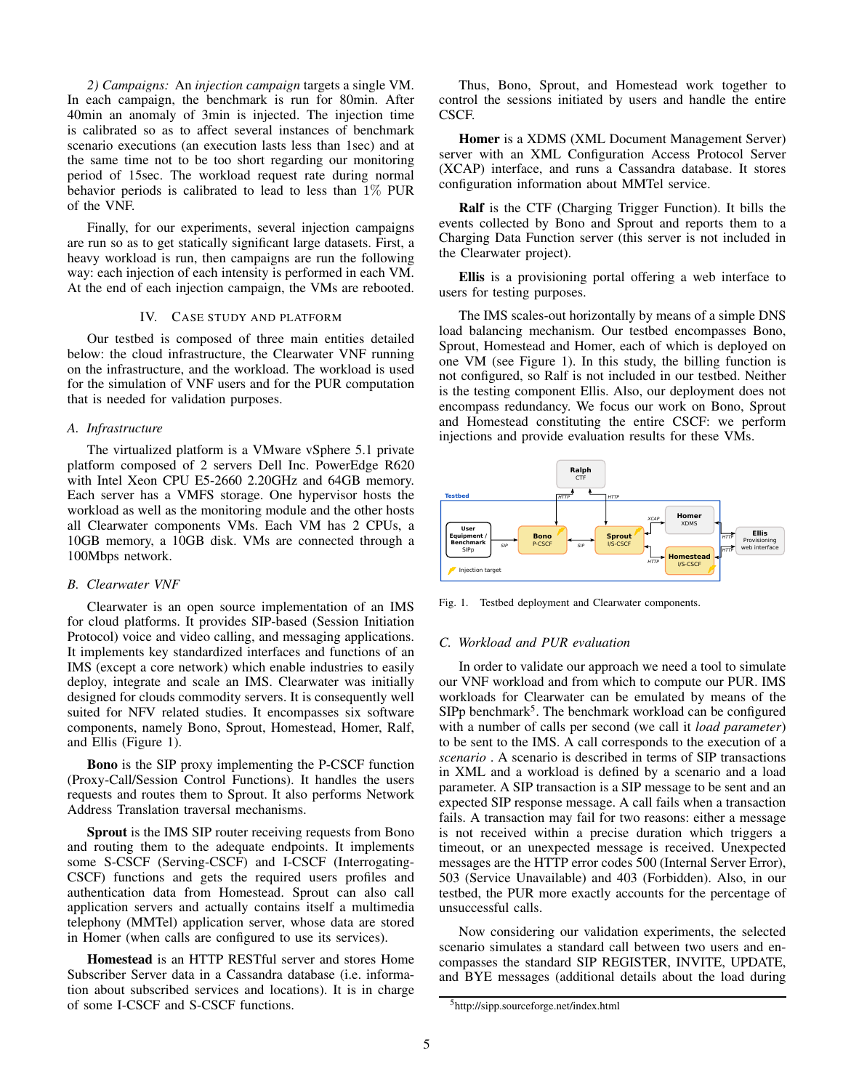*2) Campaigns:* An *injection campaign* targets a single VM. In each campaign, the benchmark is run for 80min. After 40min an anomaly of 3min is injected. The injection time is calibrated so as to affect several instances of benchmark scenario executions (an execution lasts less than 1sec) and at the same time not to be too short regarding our monitoring period of 15sec. The workload request rate during normal behavior periods is calibrated to lead to less than 1% PUR of the VNF.

Finally, for our experiments, several injection campaigns are run so as to get statically significant large datasets. First, a heavy workload is run, then campaigns are run the following way: each injection of each intensity is performed in each VM. At the end of each injection campaign, the VMs are rebooted.

## IV. CASE STUDY AND PLATFORM

Our testbed is composed of three main entities detailed below: the cloud infrastructure, the Clearwater VNF running on the infrastructure, and the workload. The workload is used for the simulation of VNF users and for the PUR computation that is needed for validation purposes.

#### *A. Infrastructure*

The virtualized platform is a VMware vSphere 5.1 private platform composed of 2 servers Dell Inc. PowerEdge R620 with Intel Xeon CPU E5-2660 2.20GHz and 64GB memory. Each server has a VMFS storage. One hypervisor hosts the workload as well as the monitoring module and the other hosts all Clearwater components VMs. Each VM has 2 CPUs, a 10GB memory, a 10GB disk. VMs are connected through a 100Mbps network.

#### *B. Clearwater VNF*

Clearwater is an open source implementation of an IMS for cloud platforms. It provides SIP-based (Session Initiation Protocol) voice and video calling, and messaging applications. It implements key standardized interfaces and functions of an IMS (except a core network) which enable industries to easily deploy, integrate and scale an IMS. Clearwater was initially designed for clouds commodity servers. It is consequently well suited for NFV related studies. It encompasses six software components, namely Bono, Sprout, Homestead, Homer, Ralf, and Ellis (Figure 1).

Bono is the SIP proxy implementing the P-CSCF function (Proxy-Call/Session Control Functions). It handles the users requests and routes them to Sprout. It also performs Network Address Translation traversal mechanisms.

Sprout is the IMS SIP router receiving requests from Bono and routing them to the adequate endpoints. It implements some S-CSCF (Serving-CSCF) and I-CSCF (Interrogating-CSCF) functions and gets the required users profiles and authentication data from Homestead. Sprout can also call application servers and actually contains itself a multimedia telephony (MMTel) application server, whose data are stored in Homer (when calls are configured to use its services).

Homestead is an HTTP RESTful server and stores Home Subscriber Server data in a Cassandra database (i.e. information about subscribed services and locations). It is in charge of some I-CSCF and S-CSCF functions.

Thus, Bono, Sprout, and Homestead work together to control the sessions initiated by users and handle the entire CSCF.

Homer is a XDMS (XML Document Management Server) server with an XML Configuration Access Protocol Server (XCAP) interface, and runs a Cassandra database. It stores configuration information about MMTel service.

Ralf is the CTF (Charging Trigger Function). It bills the events collected by Bono and Sprout and reports them to a Charging Data Function server (this server is not included in the Clearwater project).

Ellis is a provisioning portal offering a web interface to users for testing purposes.

The IMS scales-out horizontally by means of a simple DNS load balancing mechanism. Our testbed encompasses Bono, Sprout, Homestead and Homer, each of which is deployed on one VM (see Figure 1). In this study, the billing function is not configured, so Ralf is not included in our testbed. Neither is the testing component Ellis. Also, our deployment does not encompass redundancy. We focus our work on Bono, Sprout and Homestead constituting the entire CSCF: we perform injections and provide evaluation results for these VMs.



Fig. 1. Testbed deployment and Clearwater components.

## *C. Workload and PUR evaluation*

In order to validate our approach we need a tool to simulate our VNF workload and from which to compute our PUR. IMS workloads for Clearwater can be emulated by means of the SIPp benchmark<sup>5</sup>. The benchmark workload can be configured with a number of calls per second (we call it *load parameter*) to be sent to the IMS. A call corresponds to the execution of a *scenario* . A scenario is described in terms of SIP transactions in XML and a workload is defined by a scenario and a load parameter. A SIP transaction is a SIP message to be sent and an expected SIP response message. A call fails when a transaction fails. A transaction may fail for two reasons: either a message is not received within a precise duration which triggers a timeout, or an unexpected message is received. Unexpected messages are the HTTP error codes 500 (Internal Server Error), 503 (Service Unavailable) and 403 (Forbidden). Also, in our testbed, the PUR more exactly accounts for the percentage of unsuccessful calls.

Now considering our validation experiments, the selected scenario simulates a standard call between two users and encompasses the standard SIP REGISTER, INVITE, UPDATE, and BYE messages (additional details about the load during

<sup>5</sup>http://sipp.sourceforge.net/index.html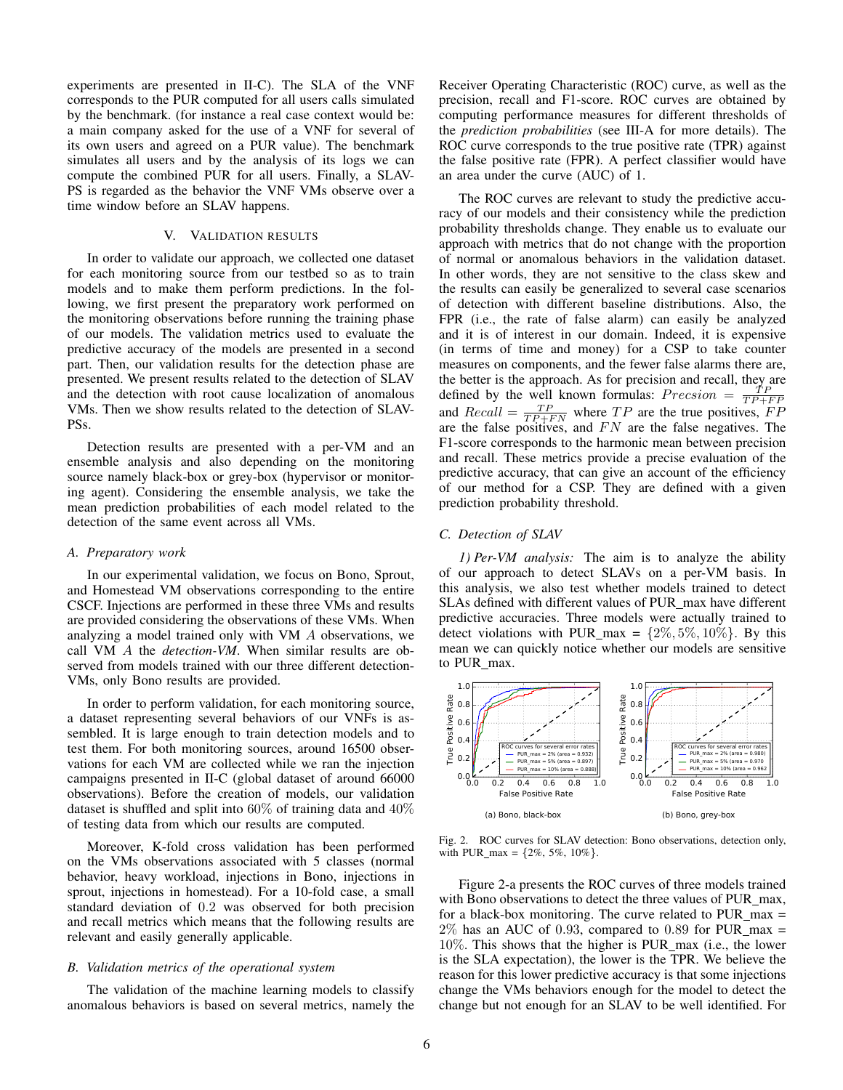experiments are presented in II-C). The SLA of the VNF corresponds to the PUR computed for all users calls simulated by the benchmark. (for instance a real case context would be: a main company asked for the use of a VNF for several of its own users and agreed on a PUR value). The benchmark simulates all users and by the analysis of its logs we can compute the combined PUR for all users. Finally, a SLAV-PS is regarded as the behavior the VNF VMs observe over a time window before an SLAV happens.

## V. VALIDATION RESULTS

In order to validate our approach, we collected one dataset for each monitoring source from our testbed so as to train models and to make them perform predictions. In the following, we first present the preparatory work performed on the monitoring observations before running the training phase of our models. The validation metrics used to evaluate the predictive accuracy of the models are presented in a second part. Then, our validation results for the detection phase are presented. We present results related to the detection of SLAV and the detection with root cause localization of anomalous VMs. Then we show results related to the detection of SLAV-PSs.

Detection results are presented with a per-VM and an ensemble analysis and also depending on the monitoring source namely black-box or grey-box (hypervisor or monitoring agent). Considering the ensemble analysis, we take the mean prediction probabilities of each model related to the detection of the same event across all VMs.

## *A. Preparatory work*

In our experimental validation, we focus on Bono, Sprout, and Homestead VM observations corresponding to the entire CSCF. Injections are performed in these three VMs and results are provided considering the observations of these VMs. When analyzing a model trained only with VM A observations, we call VM A the *detection-VM*. When similar results are observed from models trained with our three different detection-VMs, only Bono results are provided.

In order to perform validation, for each monitoring source, a dataset representing several behaviors of our VNFs is assembled. It is large enough to train detection models and to test them. For both monitoring sources, around 16500 observations for each VM are collected while we ran the injection campaigns presented in II-C (global dataset of around 66000 observations). Before the creation of models, our validation dataset is shuffled and split into  $60\%$  of training data and  $40\%$ of testing data from which our results are computed.

Moreover, K-fold cross validation has been performed on the VMs observations associated with 5 classes (normal behavior, heavy workload, injections in Bono, injections in sprout, injections in homestead). For a 10-fold case, a small standard deviation of 0.2 was observed for both precision and recall metrics which means that the following results are relevant and easily generally applicable.

## *B. Validation metrics of the operational system*

The validation of the machine learning models to classify anomalous behaviors is based on several metrics, namely the Receiver Operating Characteristic (ROC) curve, as well as the precision, recall and F1-score. ROC curves are obtained by computing performance measures for different thresholds of the *prediction probabilities* (see III-A for more details). The ROC curve corresponds to the true positive rate (TPR) against the false positive rate (FPR). A perfect classifier would have an area under the curve (AUC) of 1.

The ROC curves are relevant to study the predictive accuracy of our models and their consistency while the prediction probability thresholds change. They enable us to evaluate our approach with metrics that do not change with the proportion of normal or anomalous behaviors in the validation dataset. In other words, they are not sensitive to the class skew and the results can easily be generalized to several case scenarios of detection with different baseline distributions. Also, the FPR (i.e., the rate of false alarm) can easily be analyzed and it is of interest in our domain. Indeed, it is expensive (in terms of time and money) for a CSP to take counter measures on components, and the fewer false alarms there are, the better is the approach. As for precision and recall, they are defined by the well known formulas:  $Precision = \frac{TP}{TP + FP}$ and  $Recall = \frac{TP}{TP + FN}$  where  $TP$  are the true positives,  $FP$ are the false positives, and  $FN$  are the false negatives. The F1-score corresponds to the harmonic mean between precision and recall. These metrics provide a precise evaluation of the predictive accuracy, that can give an account of the efficiency of our method for a CSP. They are defined with a given prediction probability threshold.

#### *C. Detection of SLAV*

*1) Per-VM analysis:* The aim is to analyze the ability of our approach to detect SLAVs on a per-VM basis. In this analysis, we also test whether models trained to detect SLAs defined with different values of PUR\_max have different predictive accuracies. Three models were actually trained to detect violations with PUR\_max =  $\{2\%, 5\%, 10\%\}$ . By this mean we can quickly notice whether our models are sensitive to PUR max.



Fig. 2. ROC curves for SLAV detection: Bono observations, detection only, with PUR\_max =  $\{2\%, 5\%, 10\%\}.$ 

Figure 2-a presents the ROC curves of three models trained with Bono observations to detect the three values of PUR\_max, for a black-box monitoring. The curve related to  $PUR_{max} =$  $2\%$  has an AUC of 0.93, compared to 0.89 for PUR max = 10%. This shows that the higher is PUR max (i.e., the lower is the SLA expectation), the lower is the TPR. We believe the reason for this lower predictive accuracy is that some injections change the VMs behaviors enough for the model to detect the change but not enough for an SLAV to be well identified. For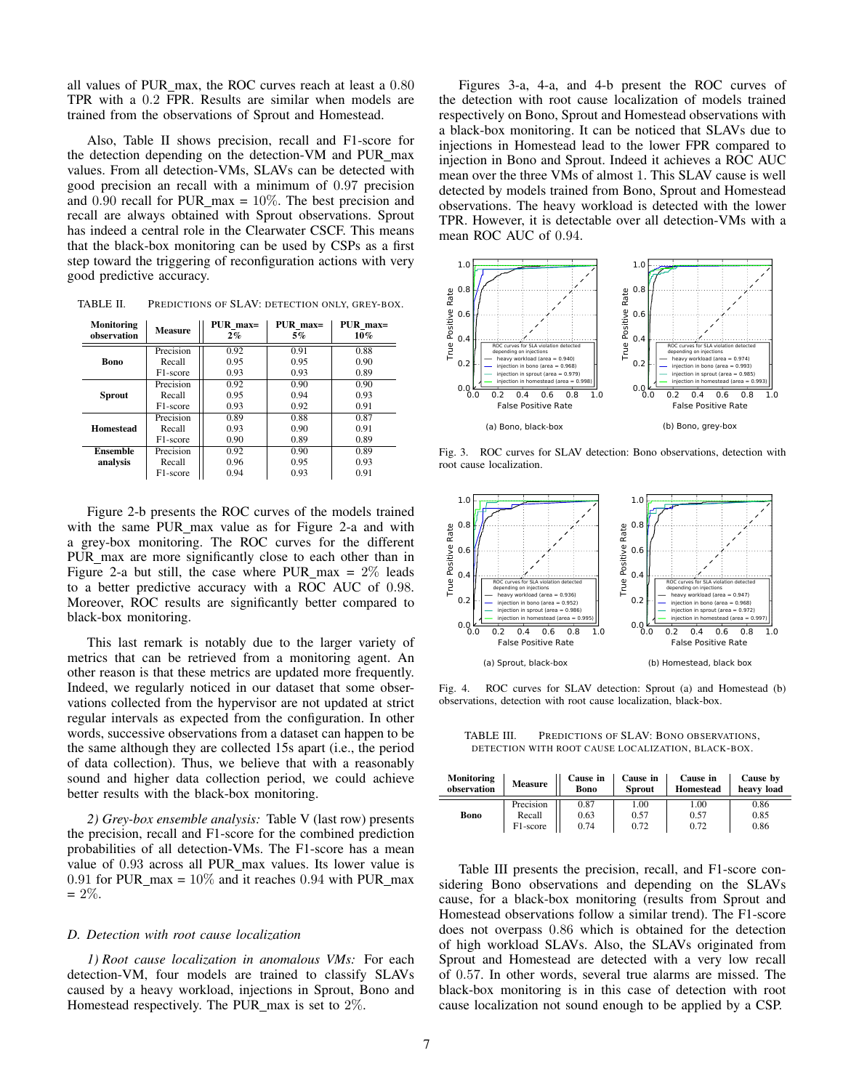all values of PUR max, the ROC curves reach at least a 0.80 TPR with a 0.2 FPR. Results are similar when models are trained from the observations of Sprout and Homestead.

Also, Table II shows precision, recall and F1-score for the detection depending on the detection-VM and PUR max values. From all detection-VMs, SLAVs can be detected with good precision an recall with a minimum of 0.97 precision and  $0.90$  recall for PUR max =  $10\%$ . The best precision and recall are always obtained with Sprout observations. Sprout has indeed a central role in the Clearwater CSCF. This means that the black-box monitoring can be used by CSPs as a first step toward the triggering of reconfiguration actions with very good predictive accuracy.

TABLE II. PREDICTIONS OF SLAV: DETECTION ONLY, GREY-BOX.

| Monitoring<br>observation | <b>Measure</b>        | PUR_max=<br>2% | PUR_max=<br>5% | PUR max=<br>10% |
|---------------------------|-----------------------|----------------|----------------|-----------------|
|                           | Precision             | 0.92           | 0.91           | 0.88            |
| Bono                      | Recall                | 0.95           | 0.95           | 0.90            |
|                           | F <sub>1</sub> -score | 0.93           | 0.93           | 0.89            |
|                           | Precision             | 0.92           | 0.90           | 0.90            |
| <b>Sprout</b>             | Recall                | 0.95           | 0.94           | 0.93            |
|                           | F <sub>1</sub> -score | 0.93           | 0.92           | 0.91            |
|                           | Precision             | 0.89           | 0.88           | 0.87            |
| <b>Homestead</b>          | Recall                | 0.93           | 0.90           | 0.91            |
|                           | F1-score              | 0.90           | 0.89           | 0.89            |
| <b>Ensemble</b>           | Precision             | 0.92           | 0.90           | 0.89            |
| analysis                  | Recall                | 0.96           | 0.95           | 0.93            |
|                           | F1-score              | 0.94           | 0.93           | 0.91            |

Figure 2-b presents the ROC curves of the models trained with the same PUR max value as for Figure 2-a and with a grey-box monitoring. The ROC curves for the different PUR\_max are more significantly close to each other than in Figure 2-a but still, the case where PUR max  $= 2\%$  leads to a better predictive accuracy with a ROC AUC of 0.98. Moreover, ROC results are significantly better compared to black-box monitoring.

This last remark is notably due to the larger variety of metrics that can be retrieved from a monitoring agent. An other reason is that these metrics are updated more frequently. Indeed, we regularly noticed in our dataset that some observations collected from the hypervisor are not updated at strict regular intervals as expected from the configuration. In other words, successive observations from a dataset can happen to be the same although they are collected 15s apart (i.e., the period of data collection). Thus, we believe that with a reasonably sound and higher data collection period, we could achieve better results with the black-box monitoring.

*2) Grey-box ensemble analysis:* Table V (last row) presents the precision, recall and F1-score for the combined prediction probabilities of all detection-VMs. The F1-score has a mean value of 0.93 across all PUR max values. Its lower value is 0.91 for PUR\_max =  $10\%$  and it reaches 0.94 with PUR\_max  $= 2\%.$ 

## *D. Detection with root cause localization*

*1) Root cause localization in anomalous VMs:* For each detection-VM, four models are trained to classify SLAVs caused by a heavy workload, injections in Sprout, Bono and Homestead respectively. The PUR\_max is set to  $2\%$ .

Figures 3-a, 4-a, and 4-b present the ROC curves of the detection with root cause localization of models trained respectively on Bono, Sprout and Homestead observations with a black-box monitoring. It can be noticed that SLAVs due to injections in Homestead lead to the lower FPR compared to injection in Bono and Sprout. Indeed it achieves a ROC AUC mean over the three VMs of almost 1. This SLAV cause is well detected by models trained from Bono, Sprout and Homestead observations. The heavy workload is detected with the lower TPR. However, it is detectable over all detection-VMs with a mean ROC AUC of 0.94.



Fig. 3. ROC curves for SLAV detection: Bono observations, detection with root cause localization.



Fig. 4. ROC curves for SLAV detection: Sprout (a) and Homestead (b) observations, detection with root cause localization, black-box.

TABLE III. PREDICTIONS OF SLAV: BONO OBSERVATIONS DETECTION WITH ROOT CAUSE LOCALIZATION, BLACK-BOX.

| <b>Monitoring</b> | <b>Measure</b> | Cause in | Cause in      | Cause in         | Cause by   |
|-------------------|----------------|----------|---------------|------------------|------------|
| observation       |                | Bono     | <b>Sprout</b> | <b>Homestead</b> | heavy load |
| Bono              | Precision      | 0.87     | 1.00          | 1.00             | 0.86       |
|                   | Recall         | 0.63     | 0.57          | 0.57             | 0.85       |
|                   | F1-score       | 0.74     | 0.72          | 0.72             | 0.86       |

Table III presents the precision, recall, and F1-score considering Bono observations and depending on the SLAVs cause, for a black-box monitoring (results from Sprout and Homestead observations follow a similar trend). The F1-score does not overpass 0.86 which is obtained for the detection of high workload SLAVs. Also, the SLAVs originated from Sprout and Homestead are detected with a very low recall of 0.57. In other words, several true alarms are missed. The black-box monitoring is in this case of detection with root cause localization not sound enough to be applied by a CSP.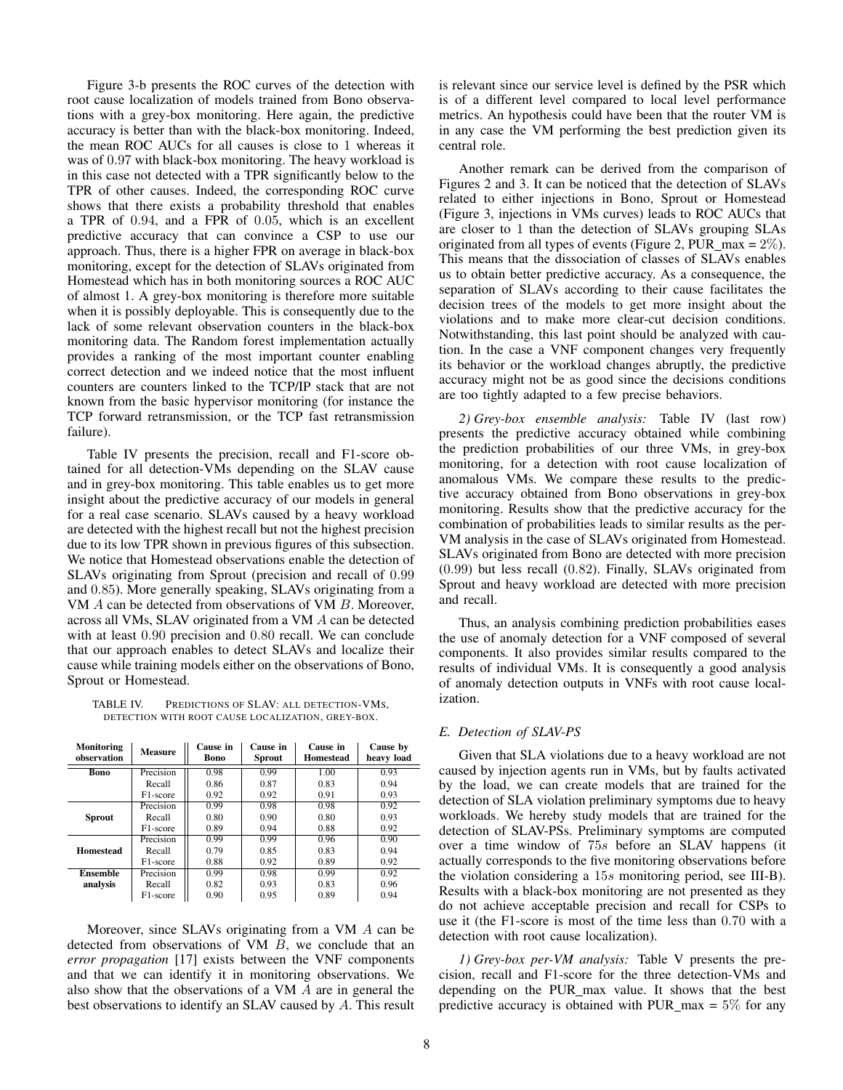Figure 3-b presents the ROC curves of the detection with root cause localization of models trained from Bono observations with a grey-box monitoring. Here again, the predictive accuracy is better than with the black-box monitoring. Indeed, the mean ROC AUCs for all causes is close to 1 whereas it was of 0.97 with black-box monitoring. The heavy workload is in this case not detected with a TPR significantly below to the TPR of other causes. Indeed, the corresponding ROC curve shows that there exists a probability threshold that enables a TPR of 0.94, and a FPR of 0.05, which is an excellent predictive accuracy that can convince a CSP to use our approach. Thus, there is a higher FPR on average in black-box monitoring, except for the detection of SLAVs originated from Homestead which has in both monitoring sources a ROC AUC of almost 1. A grey-box monitoring is therefore more suitable when it is possibly deployable. This is consequently due to the lack of some relevant observation counters in the black-box monitoring data. The Random forest implementation actually provides a ranking of the most important counter enabling correct detection and we indeed notice that the most influent counters are counters linked to the TCP/IP stack that are not known from the basic hypervisor monitoring (for instance the TCP forward retransmission, or the TCP fast retransmission failure).

Table IV presents the precision, recall and F1-score obtained for all detection-VMs depending on the SLAV cause and in grey-box monitoring. This table enables us to get more insight about the predictive accuracy of our models in general for a real case scenario. SLAVs caused by a heavy workload are detected with the highest recall but not the highest precision due to its low TPR shown in previous figures of this subsection. We notice that Homestead observations enable the detection of SLAVs originating from Sprout (precision and recall of 0.99 and 0.85). More generally speaking, SLAVs originating from a VM A can be detected from observations of VM B. Moreover, across all VMs, SLAV originated from a VM A can be detected with at least 0.90 precision and 0.80 recall. We can conclude that our approach enables to detect SLAVs and localize their cause while training models either on the observations of Bono, Sprout or Homestead.

TABLE IV. PREDICTIONS OF SLAV: ALL DETECTION-VMS, DETECTION WITH ROOT CAUSE LOCALIZATION, GREY-BOX.

| <b>Monitoring</b><br>observation | <b>Measure</b>        | Cause in<br>Bono | Cause in<br><b>Sprout</b> | Cause in<br><b>Homestead</b> | Cause by<br>heavy load |
|----------------------------------|-----------------------|------------------|---------------------------|------------------------------|------------------------|
| Bono                             | Precision             | 0.98             | 0.99                      | 1.00                         | 0.93                   |
|                                  | Recall                | 0.86             | 0.87                      | 0.83                         | 0.94                   |
|                                  | F <sub>1</sub> -score | 0.92             | 0.92                      | 0.91                         | 0.93                   |
|                                  | Precision             | 0.99             | 0.98                      | 0.98                         | 0.92                   |
| <b>Sprout</b>                    | Recall                | 0.80             | 0.90                      | 0.80                         | 0.93                   |
|                                  | F <sub>1</sub> -score | 0.89             | 0.94                      | 0.88                         | 0.92                   |
|                                  | Precision             | 0.99             | 0.99                      | 0.96                         | 0.90                   |
| <b>Homestead</b>                 | Recall                | 0.79             | 0.85                      | 0.83                         | 0.94                   |
|                                  | F <sub>1</sub> -score | 0.88             | 0.92                      | 0.89                         | 0.92                   |
| <b>Ensemble</b>                  | Precision             | 0.99             | 0.98                      | 0.99                         | 0.92                   |
| analysis                         | Recall                | 0.82             | 0.93                      | 0.83                         | 0.96                   |
|                                  | F <sub>1</sub> -score | 0.90             | 0.95                      | 0.89                         | 0.94                   |

Moreover, since SLAVs originating from a VM A can be detected from observations of VM B, we conclude that an *error propagation* [17] exists between the VNF components and that we can identify it in monitoring observations. We also show that the observations of a VM A are in general the best observations to identify an SLAV caused by A. This result is relevant since our service level is defined by the PSR which is of a different level compared to local level performance metrics. An hypothesis could have been that the router VM is in any case the VM performing the best prediction given its central role.

Another remark can be derived from the comparison of Figures 2 and 3. It can be noticed that the detection of SLAVs related to either injections in Bono, Sprout or Homestead (Figure 3, injections in VMs curves) leads to ROC AUCs that are closer to 1 than the detection of SLAVs grouping SLAs originated from all types of events (Figure 2, PUR\_max =  $2\%$ ). This means that the dissociation of classes of SLAVs enables us to obtain better predictive accuracy. As a consequence, the separation of SLAVs according to their cause facilitates the decision trees of the models to get more insight about the violations and to make more clear-cut decision conditions. Notwithstanding, this last point should be analyzed with caution. In the case a VNF component changes very frequently its behavior or the workload changes abruptly, the predictive accuracy might not be as good since the decisions conditions are too tightly adapted to a few precise behaviors.

*2) Grey-box ensemble analysis:* Table IV (last row) presents the predictive accuracy obtained while combining the prediction probabilities of our three VMs, in grey-box monitoring, for a detection with root cause localization of anomalous VMs. We compare these results to the predictive accuracy obtained from Bono observations in grey-box monitoring. Results show that the predictive accuracy for the combination of probabilities leads to similar results as the per-VM analysis in the case of SLAVs originated from Homestead. SLAVs originated from Bono are detected with more precision (0.99) but less recall (0.82). Finally, SLAVs originated from Sprout and heavy workload are detected with more precision and recall.

Thus, an analysis combining prediction probabilities eases the use of anomaly detection for a VNF composed of several components. It also provides similar results compared to the results of individual VMs. It is consequently a good analysis of anomaly detection outputs in VNFs with root cause localization.

## *E. Detection of SLAV-PS*

Given that SLA violations due to a heavy workload are not caused by injection agents run in VMs, but by faults activated by the load, we can create models that are trained for the detection of SLA violation preliminary symptoms due to heavy workloads. We hereby study models that are trained for the detection of SLAV-PSs. Preliminary symptoms are computed over a time window of 75s before an SLAV happens (it actually corresponds to the five monitoring observations before the violation considering a 15s monitoring period, see III-B). Results with a black-box monitoring are not presented as they do not achieve acceptable precision and recall for CSPs to use it (the F1-score is most of the time less than 0.70 with a detection with root cause localization).

*1) Grey-box per-VM analysis:* Table V presents the precision, recall and F1-score for the three detection-VMs and depending on the PUR max value. It shows that the best predictive accuracy is obtained with PUR\_max =  $5\%$  for any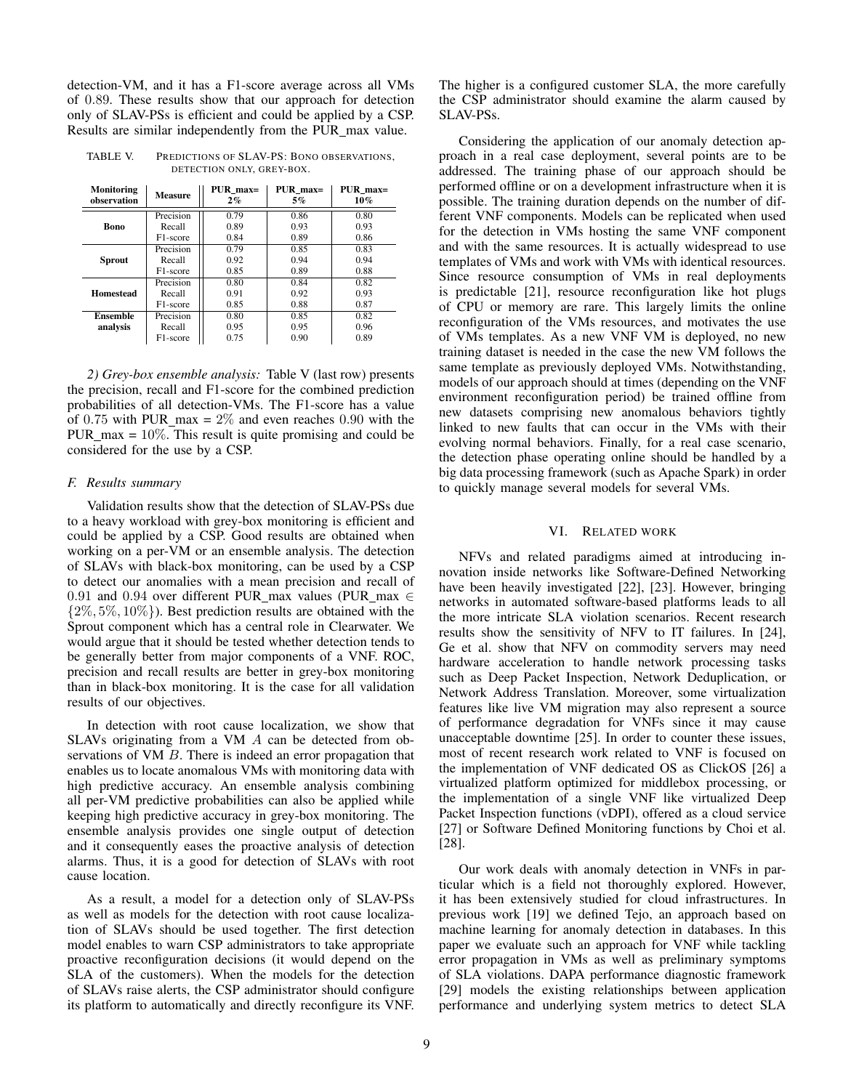detection-VM, and it has a F1-score average across all VMs of 0.89. These results show that our approach for detection only of SLAV-PSs is efficient and could be applied by a CSP. Results are similar independently from the PUR max value.

| TABLE V. | PREDICTIONS OF SLAV-PS: BONO OBSERVATIONS, |
|----------|--------------------------------------------|
|          | DETECTION ONLY, GREY-BOX.                  |

| <b>Monitoring</b><br>observation | <b>Measure</b> | PUR_max=<br>2% | PUR max=<br>5% | PUR_max=<br>$10\%$ |
|----------------------------------|----------------|----------------|----------------|--------------------|
|                                  | Precision      | 0.79           | 0.86           | 0.80               |
| Bono                             | Recall         | 0.89           | 0.93           | 0.93               |
|                                  | F1-score       | 0.84           | 0.89           | 0.86               |
|                                  | Precision      | 0.79           | 0.85           | 0.83               |
| <b>Sprout</b>                    | Recall         | 0.92           | 0.94           | 0.94               |
|                                  | F1-score       | 0.85           | 0.89           | 0.88               |
|                                  | Precision      | 0.80           | 0.84           | 0.82               |
| <b>Homestead</b>                 | Recall         | 0.91           | 0.92           | 0.93               |
|                                  | F1-score       | 0.85           | 0.88           | 0.87               |
| <b>Ensemble</b>                  | Precision      | 0.80           | 0.85           | 0.82               |
| analysis                         | Recall         | 0.95           | 0.95           | 0.96               |
|                                  | F1-score       | 0.75           | 0.90           | 0.89               |

*2) Grey-box ensemble analysis:* Table V (last row) presents the precision, recall and F1-score for the combined prediction probabilities of all detection-VMs. The F1-score has a value of 0.75 with PUR\_max =  $2\%$  and even reaches 0.90 with the PUR max  $= 10\%$ . This result is quite promising and could be considered for the use by a CSP.

## *F. Results summary*

Validation results show that the detection of SLAV-PSs due to a heavy workload with grey-box monitoring is efficient and could be applied by a CSP. Good results are obtained when working on a per-VM or an ensemble analysis. The detection of SLAVs with black-box monitoring, can be used by a CSP to detect our anomalies with a mean precision and recall of 0.91 and 0.94 over different PUR\_max values (PUR\_max  $\in$ {2%, 5%, 10%}). Best prediction results are obtained with the Sprout component which has a central role in Clearwater. We would argue that it should be tested whether detection tends to be generally better from major components of a VNF. ROC, precision and recall results are better in grey-box monitoring than in black-box monitoring. It is the case for all validation results of our objectives.

In detection with root cause localization, we show that SLAVs originating from a VM A can be detected from observations of VM B. There is indeed an error propagation that enables us to locate anomalous VMs with monitoring data with high predictive accuracy. An ensemble analysis combining all per-VM predictive probabilities can also be applied while keeping high predictive accuracy in grey-box monitoring. The ensemble analysis provides one single output of detection and it consequently eases the proactive analysis of detection alarms. Thus, it is a good for detection of SLAVs with root cause location.

As a result, a model for a detection only of SLAV-PSs as well as models for the detection with root cause localization of SLAVs should be used together. The first detection model enables to warn CSP administrators to take appropriate proactive reconfiguration decisions (it would depend on the SLA of the customers). When the models for the detection of SLAVs raise alerts, the CSP administrator should configure its platform to automatically and directly reconfigure its VNF. The higher is a configured customer SLA, the more carefully the CSP administrator should examine the alarm caused by SLAV-PSs.

Considering the application of our anomaly detection approach in a real case deployment, several points are to be addressed. The training phase of our approach should be performed offline or on a development infrastructure when it is possible. The training duration depends on the number of different VNF components. Models can be replicated when used for the detection in VMs hosting the same VNF component and with the same resources. It is actually widespread to use templates of VMs and work with VMs with identical resources. Since resource consumption of VMs in real deployments is predictable [21], resource reconfiguration like hot plugs of CPU or memory are rare. This largely limits the online reconfiguration of the VMs resources, and motivates the use of VMs templates. As a new VNF VM is deployed, no new training dataset is needed in the case the new VM follows the same template as previously deployed VMs. Notwithstanding, models of our approach should at times (depending on the VNF environment reconfiguration period) be trained offline from new datasets comprising new anomalous behaviors tightly linked to new faults that can occur in the VMs with their evolving normal behaviors. Finally, for a real case scenario, the detection phase operating online should be handled by a big data processing framework (such as Apache Spark) in order to quickly manage several models for several VMs.

## VI. RELATED WORK

NFVs and related paradigms aimed at introducing innovation inside networks like Software-Defined Networking have been heavily investigated [22], [23]. However, bringing networks in automated software-based platforms leads to all the more intricate SLA violation scenarios. Recent research results show the sensitivity of NFV to IT failures. In [24], Ge et al. show that NFV on commodity servers may need hardware acceleration to handle network processing tasks such as Deep Packet Inspection, Network Deduplication, or Network Address Translation. Moreover, some virtualization features like live VM migration may also represent a source of performance degradation for VNFs since it may cause unacceptable downtime [25]. In order to counter these issues, most of recent research work related to VNF is focused on the implementation of VNF dedicated OS as ClickOS [26] a virtualized platform optimized for middlebox processing, or the implementation of a single VNF like virtualized Deep Packet Inspection functions (vDPI), offered as a cloud service [27] or Software Defined Monitoring functions by Choi et al. [28].

Our work deals with anomaly detection in VNFs in particular which is a field not thoroughly explored. However, it has been extensively studied for cloud infrastructures. In previous work [19] we defined Tejo, an approach based on machine learning for anomaly detection in databases. In this paper we evaluate such an approach for VNF while tackling error propagation in VMs as well as preliminary symptoms of SLA violations. DAPA performance diagnostic framework [29] models the existing relationships between application performance and underlying system metrics to detect SLA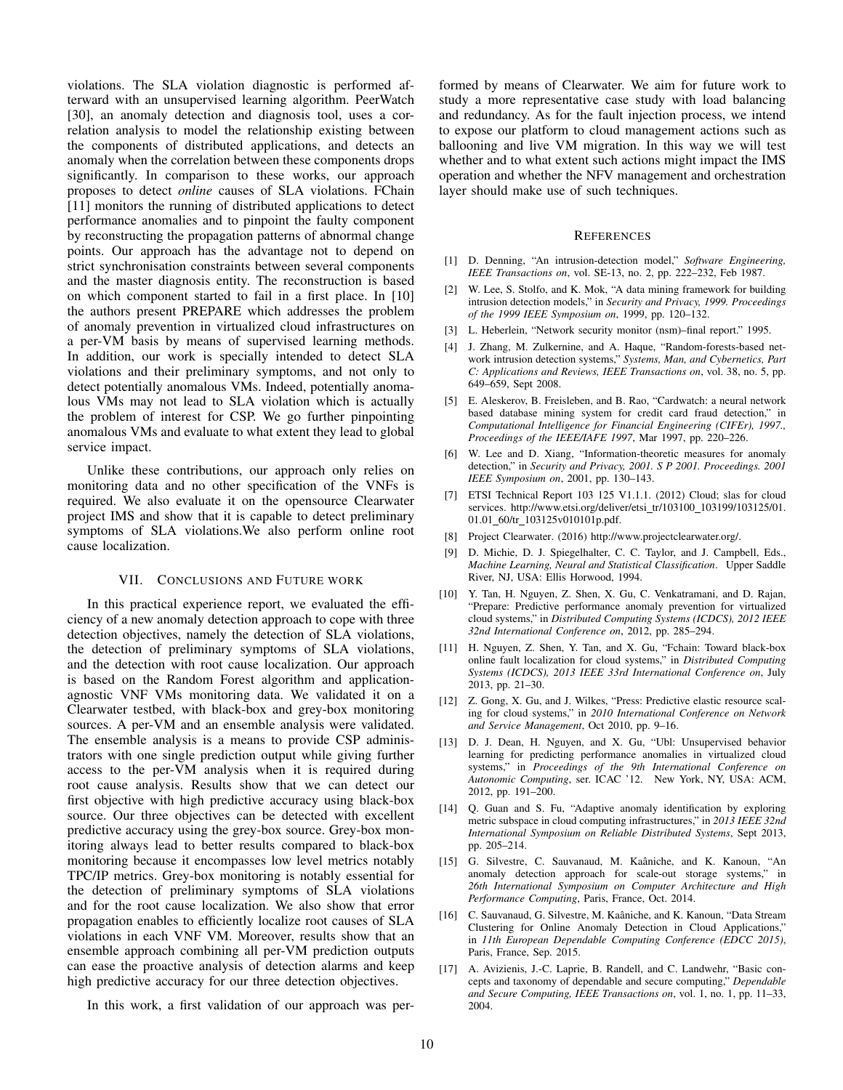violations. The SLA violation diagnostic is performed afterward with an unsupervised learning algorithm. PeerWatch [30], an anomaly detection and diagnosis tool, uses a correlation analysis to model the relationship existing between the components of distributed applications, and detects an anomaly when the correlation between these components drops significantly. In comparison to these works, our approach proposes to detect *online* causes of SLA violations. FChain [11] monitors the running of distributed applications to detect performance anomalies and to pinpoint the faulty component by reconstructing the propagation patterns of abnormal change points. Our approach has the advantage not to depend on strict synchronisation constraints between several components and the master diagnosis entity. The reconstruction is based on which component started to fail in a first place. In [10] the authors present PREPARE which addresses the problem of anomaly prevention in virtualized cloud infrastructures on a per-VM basis by means of supervised learning methods. In addition, our work is specially intended to detect SLA violations and their preliminary symptoms, and not only to detect potentially anomalous VMs. Indeed, potentially anomalous VMs may not lead to SLA violation which is actually the problem of interest for CSP. We go further pinpointing anomalous VMs and evaluate to what extent they lead to global service impact.

Unlike these contributions, our approach only relies on monitoring data and no other specification of the VNFs is required. We also evaluate it on the opensource Clearwater project IMS and show that it is capable to detect preliminary symptoms of SLA violations.We also perform online root cause localization.

## VII. CONCLUSIONS AND FUTURE WORK

In this practical experience report, we evaluated the efficiency of a new anomaly detection approach to cope with three detection objectives, namely the detection of SLA violations, the detection of preliminary symptoms of SLA violations, and the detection with root cause localization. Our approach is based on the Random Forest algorithm and applicationagnostic VNF VMs monitoring data. We validated it on a Clearwater testbed, with black-box and grey-box monitoring sources. A per-VM and an ensemble analysis were validated. The ensemble analysis is a means to provide CSP administrators with one single prediction output while giving further access to the per-VM analysis when it is required during root cause analysis. Results show that we can detect our first objective with high predictive accuracy using black-box source. Our three objectives can be detected with excellent predictive accuracy using the grey-box source. Grey-box monitoring always lead to better results compared to black-box monitoring because it encompasses low level metrics notably TPC/IP metrics. Grey-box monitoring is notably essential for the detection of preliminary symptoms of SLA violations and for the root cause localization. We also show that error propagation enables to efficiently localize root causes of SLA violations in each VNF VM. Moreover, results show that an ensemble approach combining all per-VM prediction outputs can ease the proactive analysis of detection alarms and keep high predictive accuracy for our three detection objectives.

In this work, a first validation of our approach was per-

formed by means of Clearwater. We aim for future work to study a more representative case study with load balancing and redundancy. As for the fault injection process, we intend to expose our platform to cloud management actions such as ballooning and live VM migration. In this way we will test whether and to what extent such actions might impact the IMS operation and whether the NFV management and orchestration layer should make use of such techniques.

#### **REFERENCES**

- [1] D. Denning, "An intrusion-detection model," *Software Engineering, IEEE Transactions on*, vol. SE-13, no. 2, pp. 222–232, Feb 1987.
- [2] W. Lee, S. Stolfo, and K. Mok, "A data mining framework for building intrusion detection models," in *Security and Privacy, 1999. Proceedings of the 1999 IEEE Symposium on*, 1999, pp. 120–132.
- [3] L. Heberlein, "Network security monitor (nsm)–final report." 1995.
- [4] J. Zhang, M. Zulkernine, and A. Haque, "Random-forests-based network intrusion detection systems," *Systems, Man, and Cybernetics, Part C: Applications and Reviews, IEEE Transactions on*, vol. 38, no. 5, pp. 649–659, Sept 2008.
- [5] E. Aleskerov, B. Freisleben, and B. Rao, "Cardwatch: a neural network based database mining system for credit card fraud detection," in *Computational Intelligence for Financial Engineering (CIFEr), 1997., Proceedings of the IEEE/IAFE 1997*, Mar 1997, pp. 220–226.
- [6] W. Lee and D. Xiang, "Information-theoretic measures for anomaly detection," in *Security and Privacy, 2001. S P 2001. Proceedings. 2001 IEEE Symposium on*, 2001, pp. 130–143.
- [7] ETSI Technical Report 103 125 V1.1.1. (2012) Cloud; slas for cloud services. http://www.etsi.org/deliver/etsi\_tr/103100\_103199/103125/01. 01.01 60/tr 103125v010101p.pdf.
- [8] Project Clearwater. (2016) http://www.projectclearwater.org/.
- [9] D. Michie, D. J. Spiegelhalter, C. C. Taylor, and J. Campbell, Eds., *Machine Learning, Neural and Statistical Classification*. Upper Saddle River, NJ, USA: Ellis Horwood, 1994.
- [10] Y. Tan, H. Nguyen, Z. Shen, X. Gu, C. Venkatramani, and D. Rajan, "Prepare: Predictive performance anomaly prevention for virtualized cloud systems," in *Distributed Computing Systems (ICDCS), 2012 IEEE 32nd International Conference on*, 2012, pp. 285–294.
- [11] H. Nguyen, Z. Shen, Y. Tan, and X. Gu, "Fchain: Toward black-box online fault localization for cloud systems," in *Distributed Computing Systems (ICDCS), 2013 IEEE 33rd International Conference on*, July 2013, pp. 21–30.
- [12] Z. Gong, X. Gu, and J. Wilkes, "Press: Predictive elastic resource scaling for cloud systems," in *2010 International Conference on Network and Service Management*, Oct 2010, pp. 9–16.
- [13] D. J. Dean, H. Nguyen, and X. Gu, "Ubl: Unsupervised behavior learning for predicting performance anomalies in virtualized cloud systems," in *Proceedings of the 9th International Conference on Autonomic Computing*, ser. ICAC '12. New York, NY, USA: ACM, 2012, pp. 191–200.
- [14] Q. Guan and S. Fu, "Adaptive anomaly identification by exploring metric subspace in cloud computing infrastructures," in *2013 IEEE 32nd International Symposium on Reliable Distributed Systems*, Sept 2013, pp. 205–214.
- [15] G. Silvestre, C. Sauvanaud, M. Kaâniche, and K. Kanoun, "An anomaly detection approach for scale-out storage systems," in *26th International Symposium on Computer Architecture and High Performance Computing*, Paris, France, Oct. 2014.
- [16] C. Sauvanaud, G. Silvestre, M. Kaâniche, and K. Kanoun, "Data Stream Clustering for Online Anomaly Detection in Cloud Applications," in *11th European Dependable Computing Conference (EDCC 2015)*, Paris, France, Sep. 2015.
- [17] A. Avizienis, J.-C. Laprie, B. Randell, and C. Landwehr, "Basic concepts and taxonomy of dependable and secure computing," *Dependable and Secure Computing, IEEE Transactions on*, vol. 1, no. 1, pp. 11–33, 2004.